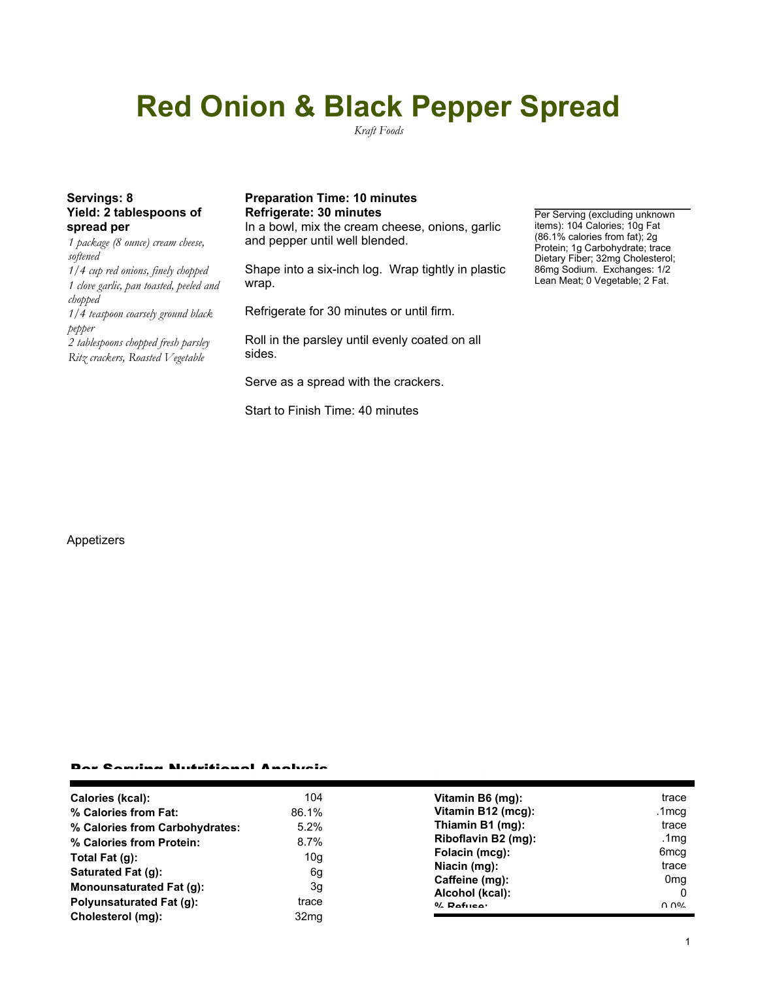# **Red Onion & Black Pepper Spread**

*Kraft Foods*

# **Yield: 2 tablespoons of spread per**

*1 package (8 ounce) cream cheese, softened 1/4 cup red onions, finely chopped 1 clove garlic, pan toasted, peeled and chopped 1/4 teaspoon coarsely ground black pepper 2 tablespoons chopped fresh parsley Ritz crackers, Roasted Vegetable*

### Servings: 8 **Preparation Time: 10 minutes Refrigerate: 30 minutes Per Serving (excluding unknown**

In a bowl, mix the cream cheese, onions, garlic and pepper until well blended.

Shape into a six-inch log. Wrap tightly in plastic wrap.

Refrigerate for 30 minutes or until firm.

Roll in the parsley until evenly coated on all sides.

Serve as a spread with the crackers.

Start to Finish Time: 40 minutes

#### items): 104 Calories; 10g Fat (86.1% calories from fat); 2g Protein; 1g Carbohydrate; trace Dietary Fiber; 32mg Cholesterol; 86mg Sodium. Exchanges: 1/2 Lean Meat; 0 Vegetable; 2 Fat.

#### Appetizers

#### Per Serving Nutritional Analysis

| Calories (kcal):               | 104              | Vitamin B6 (mg):    | trace            |
|--------------------------------|------------------|---------------------|------------------|
| % Calories from Fat:           | 86.1%            | Vitamin B12 (mcg):  | .1mcq            |
| % Calories from Carbohydrates: | 5.2%             | Thiamin B1 (mg):    | trace            |
| % Calories from Protein:       | 8.7%             | Riboflavin B2 (mg): | .1 $mg$          |
| Total Fat $(q)$ :              | 10g              | Folacin (mcg):      | 6 <sub>mcq</sub> |
| Saturated Fat (g):             | 6g               | Niacin (mg):        | trace            |
|                                |                  | Caffeine (mg):      | 0 <sub>mq</sub>  |
| Monounsaturated Fat (g):       | 3g               | Alcohol (kcal):     | $\Omega$         |
| Polyunsaturated Fat (q):       | trace            | $0/2$ Pofileo:      | በ በ%             |
| Cholesterol (mg):              | 32 <sub>mg</sub> |                     |                  |
|                                |                  |                     |                  |